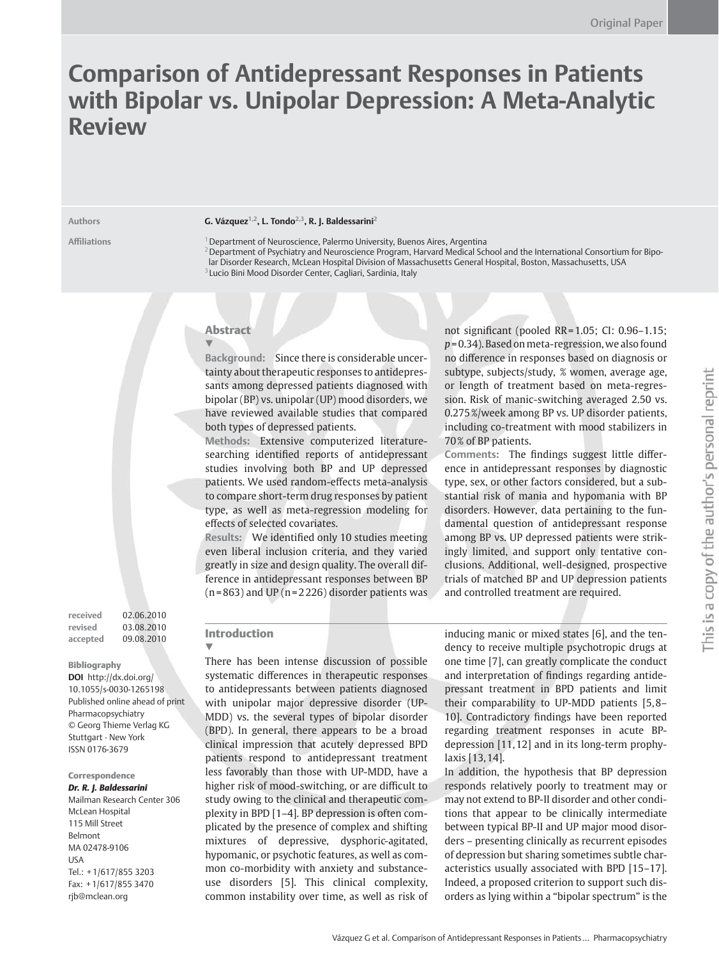# **Comparison of Antidepressant Responses in Patients with Bipolar vs. Unipolar Depression: A Meta-Analytic Review**

#### Authors **G. Vázquez<sup>1,2</sup>, L. Tondo<sup>2,3</sup>, R. J. Baldessarini<sup>2</sup>**

**Affi liations** 1 Department of Neuroscience, Palermo University, Buenos Aires, Argentina <sup>2</sup> Department of Psychiatry and Neuroscience Program, Harvard Medical School and the International Consortium for Bipolar Disorder Research, McLean Hospital Division of Massachusetts General Hospital, Boston, Massachusetts, USA 3 Lucio Bini Mood Disorder Center, Cagliari, Sardinia, Italy

## Abstract

▼

**Background:** Since there is considerable uncertainty about therapeutic responses to antidepressants among depressed patients diagnosed with bipolar (BP) vs. unipolar (UP) mood disorders, we have reviewed available studies that compared both types of depressed patients.

**Methods:** Extensive computerized literaturesearching identified reports of antidepressant studies involving both BP and UP depressed patients. We used random-effects meta-analysis to compare short-term drug responses by patient type, as well as meta-regression modeling for effects of selected covariates.

Results: We identified only 10 studies meeting even liberal inclusion criteria, and they varied greatly in size and design quality. The overall difference in antidepressant responses between BP  $(n = 863)$  and UP  $(n = 2226)$  disorder patients was not significant (pooled RR=1.05; CI: 0.96-1.15; *p* = 0.34). Based on meta-regression, we also found no difference in responses based on diagnosis or subtype, subjects/study, % women, average age, or length of treatment based on meta-regression. Risk of manic-switching averaged 2.50 vs. 0.275%/week among BP vs. UP disorder patients, including co-treatment with mood stabilizers in 70 % of BP patients.

Comments: The findings suggest little difference in antidepressant responses by diagnostic type, sex, or other factors considered, but a substantial risk of mania and hypomania with BP disorders. However, data pertaining to the fundamental question of antidepressant response among BP vs. UP depressed patients were strikingly limited, and support only tentative conclusions. Additional, well-designed, prospective trials of matched BP and UP depression patients and controlled treatment are required.

**received** 02.06.2010 **revised** 03.08.2010 **accepted** 09.08.2010

#### Bibliography

**DOI** http://dx.doi.org/ 10.1055/s-0030-1265198 Published online ahead of print Pharmacopsychiatry © Georg Thieme Verlag KG Stuttgart · New York ISSN 0176-3679

## Correspondence

*Dr. R. J. Baldessarini* Mailman Research Center 306 McLean Hospital 115 Mill Street Belmont MA 02478-9106 USA Tel.: +1/617/855 3203 Fax: +1/617/855 3470 rjb@mclean.org

# Introduction

▼

 There has been intense discussion of possible systematic differences in therapeutic responses to antidepressants between patients diagnosed with unipolar major depressive disorder (UP-MDD) vs. the several types of bipolar disorder (BPD). In general, there appears to be a broad clinical impression that acutely depressed BPD patients respond to antidepressant treatment less favorably than those with UP-MDD, have a higher risk of mood-switching, or are difficult to study owing to the clinical and therapeutic complexity in BPD [1-4]. BP depression is often complicated by the presence of complex and shifting mixtures of depressive, dysphoric-agitated, hypomanic, or psychotic features, as well as common co-morbidity with anxiety and substanceuse disorders [5]. This clinical complexity, common instability over time, as well as risk of

inducing manic or mixed states [6], and the tendency to receive multiple psychotropic drugs at one time [7], can greatly complicate the conduct and interpretation of findings regarding antidepressant treatment in BPD patients and limit their comparability to UP-MDD patients [5, 8 – 10]. Contradictory findings have been reported regarding treatment responses in acute BPdepression [11, 12] and in its long-term prophylaxis [13, 14].

 In addition, the hypothesis that BP depression responds relatively poorly to treatment may or may not extend to BP-II disorder and other conditions that appear to be clinically intermediate between typical BP-II and UP major mood disorders – presenting clinically as recurrent episodes of depression but sharing sometimes subtle characteristics usually associated with BPD [15-17]. Indeed, a proposed criterion to support such disorders as lying within a "bipolar spectrum" is the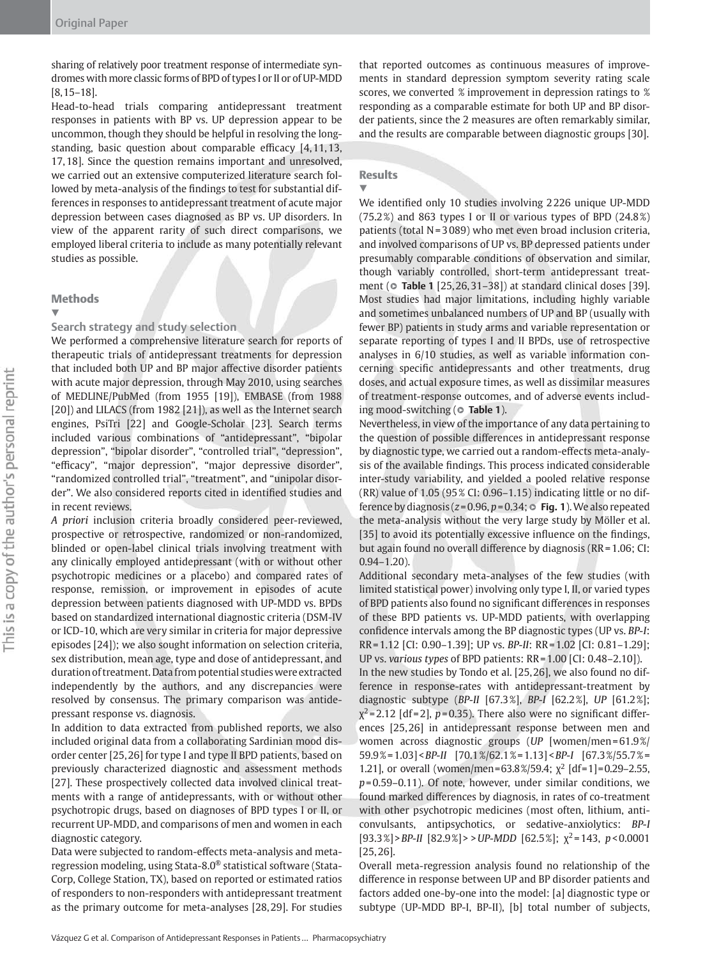sharing of relatively poor treatment response of intermediate syndromes with more classic forms of BPD of types I or II or of UP-MDD [8, 15 – 18] .

 Head-to-head trials comparing antidepressant treatment responses in patients with BP vs. UP depression appear to be uncommon, though they should be helpful in resolving the longstanding, basic question about comparable efficacy  $[4, 11, 13,$ 17, 18]. Since the question remains important and unresolved, we carried out an extensive computerized literature search followed by meta-analysis of the findings to test for substantial differences in responses to antidepressant treatment of acute major depression between cases diagnosed as BP vs. UP disorders. In view of the apparent rarity of such direct comparisons, we employed liberal criteria to include as many potentially relevant studies as possible.

#### **Methods**

#### ▼

### **Search strategy and study selection**

 We performed a comprehensive literature search for reports of therapeutic trials of antidepressant treatments for depression that included both UP and BP major affective disorder patients with acute major depression, through May 2010, using searches of MEDLINE/PubMed (from 1955 [19]), EMBASE (from 1988 [20]) and LILACS (from 1982 [21]), as well as the Internet search engines, PsiTri [22] and Google-Scholar [23]. Search terms included various combinations of "antidepressant", "bipolar depression", "bipolar disorder", "controlled trial", "depression", " efficacy", "major depression", "major depressive disorder", "randomized controlled trial", "treatment", and "unipolar disorder". We also considered reports cited in identified studies and in recent reviews.

*A priori* inclusion criteria broadly considered peer-reviewed, prospective or retrospective, randomized or non-randomized, blinded or open-label clinical trials involving treatment with any clinically employed antidepressant (with or without other psychotropic medicines or a placebo) and compared rates of response, remission, or improvement in episodes of acute depression between patients diagnosed with UP-MDD vs. BPDs based on standardized international diagnostic criteria (DSM-IV or ICD-10, which are very similar in criteria for major depressive episodes [24] ); we also sought information on selection criteria, sex distribution, mean age, type and dose of antidepressant, and duration of treatment. Data from potential studies were extracted independently by the authors, and any discrepancies were resolved by consensus. The primary comparison was antidepressant response vs. diagnosis.

 In addition to data extracted from published reports, we also included original data from a collaborating Sardinian mood disorder center [25, 26] for type I and type II BPD patients, based on previously characterized diagnostic and assessment methods [27]. These prospectively collected data involved clinical treatments with a range of antidepressants, with or without other psychotropic drugs, based on diagnoses of BPD types I or II, or recurrent UP-MDD, and comparisons of men and women in each diagnostic category.

Data were subjected to random-effects meta-analysis and metaregression modeling, using Stata-8.0<sup>®</sup> statistical software (Stata-Corp, College Station, TX), based on reported or estimated ratios of responders to non-responders with antidepressant treatment as the primary outcome for meta-analyses [28,29]. For studies

that reported outcomes as continuous measures of improvements in standard depression symptom severity rating scale scores, we converted % improvement in depression ratings to % responding as a comparable estimate for both UP and BP disorder patients, since the 2 measures are often remarkably similar, and the results are comparable between diagnostic groups [30].

# **Results**

▼

We identified only 10 studies involving 2226 unique UP-MDD  $(75.2%)$  and 863 types I or II or various types of BPD  $(24.8%)$ patients (total  $N = 3089$ ) who met even broad inclusion criteria, and involved comparisons of UP vs. BP depressed patients under presumably comparable conditions of observation and similar, though variably controlled, short-term antidepressant treatment ( $\circ$  **Table 1** [25, 26, 31-38]) at standard clinical doses [39]. Most studies had major limitations, including highly variable and sometimes unbalanced numbers of UP and BP (usually with fewer BP) patients in study arms and variable representation or separate reporting of types I and II BPDs, use of retrospective analyses in  $6/10$  studies, as well as variable information concerning specific antidepressants and other treatments, drug doses, and actual exposure times, as well as dissimilar measures of treatment-response outcomes, and of adverse events including mood-switching ( $\circ$  Table 1).

 Nevertheless, in view of the importance of any data pertaining to the question of possible differences in antidepressant response by diagnostic type, we carried out a random-effects meta-analysis of the available findings. This process indicated considerable inter-study variability, and yielded a pooled relative response (RR) value of 1.05 (95% CI: 0.96-1.15) indicating little or no difference by diagnosis ( $z = 0.96$ ,  $p = 0.34$ ;  $\circ$  **Fig. 1**). We also repeated the meta-analysis without the very large study by Möller et al. [35] to avoid its potentially excessive influence on the findings, but again found no overall difference by diagnosis ( $RR = 1.06$ ; CI:  $0.94 - 1.20$ ).

 Additional secondary meta-analyses of the few studies (with limited statistical power) involving only type I, II, or varied types of BPD patients also found no significant differences in responses of these BPD patients vs. UP-MDD patients, with overlapping confidence intervals among the BP diagnostic types (UP vs. BP-I: RR = 1.12 [CI: 0.90 – 1.39]; UP vs. *BP-II* : RR = 1.02 [CI: 0.81 – 1.29]; UP vs. *various types* of BPD patients: RR = 1.00 [CI: 0.48 – 2.10]).

In the new studies by Tondo et al. [25,26], we also found no difference in response-rates with antidepressant-treatment by diagnostic subtype ( *BP-II* [67.3 % ], *BP-I* [62.2 % ], *UP* [61.2 % ];  $\chi^2$ =2.12 [df=2], p=0.35). There also were no significant differences [25, 26] in antidepressant response between men and women across diagnostic groups (UP [women/men=61.9%] 59.9 % = 1.03] < *BP-II* [70.1 % / 62.1 % = 1.13] < *BP-I* [67.3 % / 55.7 % = 1.21], or overall (women/men=63.8%/59.4;  $\chi^2$  [df=1]=0.29-2.55, p=0.59-0.11). Of note, however, under similar conditions, we found marked differences by diagnosis, in rates of co-treatment with other psychotropic medicines (most often, lithium, anticonvulsants, antipsychotics, or sedative-anxiolytics: *BP-I* [93.3 % ] > *BP-II* [82.9 % ] > > *UP-MDD* [62.5 % ]; χ2 = 143, *p* < 0.0001  $[25, 26]$ .

 Overall meta-regression analysis found no relationship of the difference in response between UP and BP disorder patients and factors added one-by-one into the model: [a] diagnostic type or subtype (UP-MDD BP-I, BP-II), [b] total number of subjects,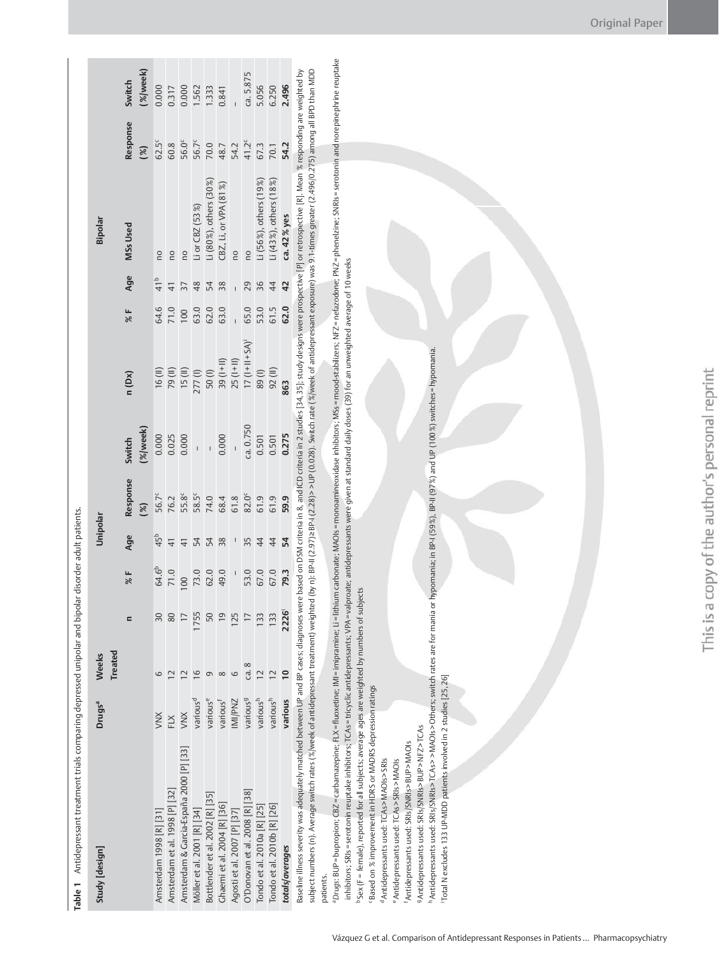| Table 1 Antidepressant treatment trials comparing depressed unipolar and bipolar disorder adult patients. |                      |                         |                |                          |                          |                   |                   |                         |      |                 |                                                                                                                                                                |                           |                   |
|-----------------------------------------------------------------------------------------------------------|----------------------|-------------------------|----------------|--------------------------|--------------------------|-------------------|-------------------|-------------------------|------|-----------------|----------------------------------------------------------------------------------------------------------------------------------------------------------------|---------------------------|-------------------|
| Study [design]                                                                                            | Drugs <sup>a</sup>   | <b>Treated</b><br>Weeks |                |                          | Unipolar                 |                   |                   |                         |      |                 | Bipolar                                                                                                                                                        |                           |                   |
|                                                                                                           |                      |                         |                | र<br>१४                  | Age                      | Response<br>30    | %/week)<br>Switch | n (Dx)                  | 3%   | Age             | <b>MSs Used</b>                                                                                                                                                | Response<br>$\mathscr{E}$ | % week)<br>Switch |
| Amsterdam 1998 [R] [31]                                                                                   | XIV                  |                         | 30             | 64.6 <sup>b</sup>        | 45 <sup>b</sup>          | 56.7 <sup>c</sup> | 0.000             | 16(II)                  | 64.6 | 41 <sup>b</sup> | <b>DO</b>                                                                                                                                                      | $62.5^c$                  | 0.000             |
| Amsterdam et al. 1998 P   32                                                                              | FLX                  |                         |                | 71.0                     | $\frac{4}{1}$            | 76.2              | 0.025             | 79(II)                  | 71.0 | $\overline{4}$  | <b>DO</b>                                                                                                                                                      | 60.8                      | 0.317             |
| Amsterdam & Garcia-España 2000 [P] [33]                                                                   | XNX                  |                         |                | 100                      | $\frac{4}{3}$            | 55.8              | 0.000             | 15 (II)                 | 100  | 37              | <b>PO</b>                                                                                                                                                      | 56.0°                     | 0.000             |
| Möller et al. 2001 [R] [34]                                                                               | various <sup>d</sup> | $\circ$                 | 755            | 73.0                     | 54                       | 58.5              |                   | 277(l)                  | 63.0 | 48              | Li or CBZ $(53\%)$                                                                                                                                             | 56.7 <sup>c</sup>         | 1.562             |
| Bottlender et al. 2002 [R] [35]                                                                           | variouse             | σ                       |                | 62.0                     | 54                       | 74.0              |                   | 50 <sub>(I)</sub>       | 62.0 | 54              | Li (80%), others (30%)                                                                                                                                         | 70.0                      | 1.333             |
| Chaemi et al. 2004 [R] [36]                                                                               | various <sup>f</sup> | $\infty$                | $\overline{0}$ | 49.0                     | 38                       | 68.4              | 0.000             | $(1 + 1)$ 39            | 63.0 | 38              | CBZ, Li, or VPA (81%)                                                                                                                                          | 48.7                      | 0.841             |
| Agosti et al. 2007 [P] [37]                                                                               | MI/PNZ               | 6                       | 125            | $\overline{\phantom{a}}$ | $\overline{\phantom{a}}$ | 61.8              |                   | $25(1+11)$              |      | I               | <u>p</u>                                                                                                                                                       | 54.2                      |                   |
| O'Donovan et al. 2008 [R] [38]                                                                            | various <sup>9</sup> | ca.8                    |                | 53.0                     | 35                       | 82.0 <sup>c</sup> | ca. 0.750         | $17$ $(1 + 11 + S_A)^T$ | 65.0 | 29              | <b>DU</b>                                                                                                                                                      | $41.2^c$                  | ca. 5.875         |
| Tondo et al. 2010a [R] [25]                                                                               | various <sup>h</sup> |                         | 133            | 67.0                     | $\overline{4}$           | 61.9              | 0.501             | 89(I)                   | 53.0 | 36              | Li (56%), others (19%)                                                                                                                                         | 67.3                      | 5.056             |
| Tondo et al. 2010b [R] [26]                                                                               | various <sup>h</sup> | $\overline{C}$          | 133            | 67.0                     | $\overline{4}$           | 61.9              | 0.501             | 92 (II)                 | 61.5 | 44              | Li (43 %), others (18 %)                                                                                                                                       | 70.1                      | 6.250             |
| totals/averages                                                                                           | various              | $\overline{a}$          | 2226           | 79.3                     | 54                       | 59.9              | 0.275             | 863                     | 62.0 | 42              | ca. 42% yes                                                                                                                                                    | 54.2                      | 2.496             |
| Baseline illness severity was adequately matched between UP and BP cases; diagnoses were                  |                      |                         |                |                          |                          |                   |                   |                         |      |                 | based on DSM criteria in 8, and ICD criteria in 2 studies [34, 35]; study designs were prospective [P] or retrospective [R]. Mean % responding are weighted by |                           |                   |
| subject numbers (n). Average switch rates (%/week of antidepressant treatment) weighted<br>patients.      |                      |                         |                |                          |                          |                   |                   |                         |      |                 | (by n): BP-II (2.97)>BP-I (2.28)> > UP (0.028). Switch rate (%/week of antidepressant exposure) was 9.1-times greater (2.496/0.275) among all BPD than MDD     |                           |                   |
|                                                                                                           |                      |                         |                |                          |                          |                   |                   |                         |      |                 |                                                                                                                                                                |                           |                   |

"Drugs: BUP=bupropion; CBZ=carbamazepine; FLX=fluoxetine; IMI=imipramine; Ui=lithium carbonate; MAOIs =monoamineoxidase inhibitors; MSs =moodstabilizers; NFZ=nefazodone; PNZ=phenelzine; SNRIs=serotonin and norepinephrine r PDrugs: BUP=bupropion; CBZ=carbamazepine; IR=inupramine; UI=lithium carbonate; MAOIs=monoamineoxidase inhibitors; MSs=mood-stabilizers; NFZ=nefazodone; PNZ=pheneIzine; SNRIs=serotonin and norepinine reuptake inhibitors; SRIs=serotonin reuptake inhibitors; TCAs=tricyclic antidepressants; VPA=valproate; antidepressants were given at standard daily doses (39) for an unweighted average of 10 weeks inhibitors; SRIs = serotonin reuptake inhibitors; TCAs = tricyclic antidepressants; VPA = valproate; antidepressants were given at standard daily doses (39) for an unweighted average of 10 weeks

bSex (F = female), reported for all subjects; average ages are weighted by numbers of subjects b Sex (F = female), reported for all subjects; average ages are weighted by numbers of subjects

"Based on % improvement in HDRS or MADRS depression ratings c Based on % improvement in HDRS or MADRS depression ratings

d Antidepressants used: TCAs>MAOIs>SRIs d Antidepressants used: TCAs > MAOIs > SRIs

f Antidepressants used: SRIs/SNRIs>BUP>MAOIs e Antidepressants used: TCAs > SRIs > MAOIs e Antidepressants used: TCAs > SRIs > MAOIs

9 Antidepressants used: SRIs/SNRIs>BUP > NFZ > TCAs g Antidepressants used: SRIs / SNRIs > BUP > NFZ > TCAs f Antidepressants used: SRIs / SNRIs > BUP > MAOIs

"Antidepressants used: SRIs/SNRIs>TCAs>>MAOIs>Others; switch rates are for mania or hypomania; in BP-I (59%), BP-II (97%) and UP (100%) switches=hypomania. h Antidepressants used: SRIs / SNRIs > TCAs > > MAOIs > Others; switch rates are for mania or hypomania; in BP-I (59 % ), BP-II (97 % ) and UP (100 % ) switches = hypomania. Total N excludes 133 UP-MDD patients involved in 2 studies [25, 26] i Total N excludes 133 UP-MDD patients involved in 2 studies [25, 26]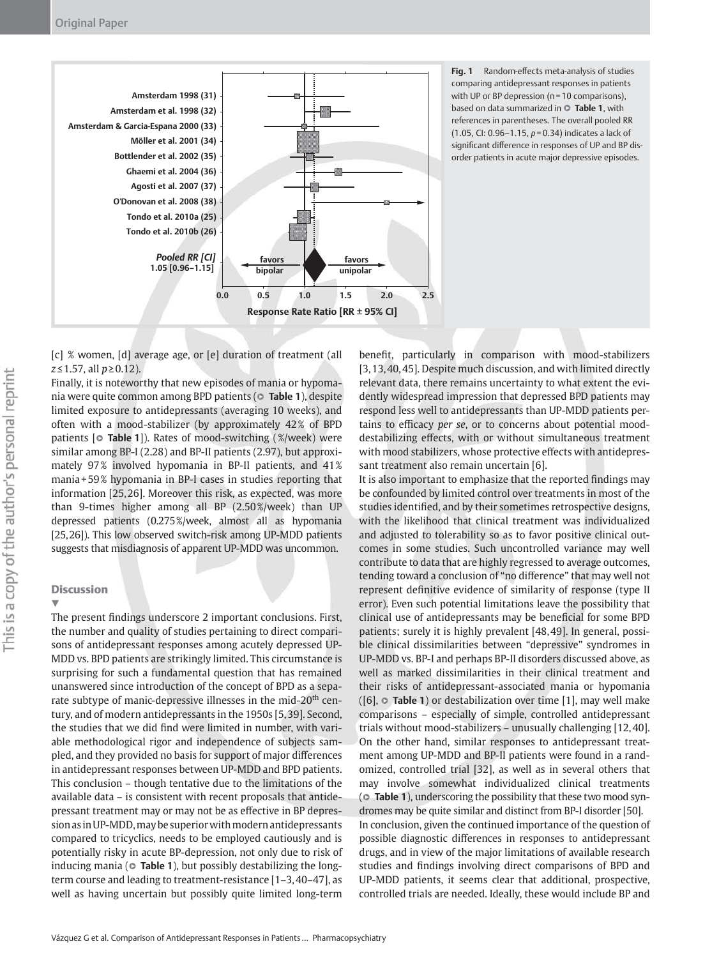

**Fig. 1** Random-effects meta-analysis of studies comparing antidepressant responses in patients with UP or BP depression (n = 10 comparisons), based on data summarized in  $\circ$  Table 1, with references in parentheses. The overall pooled RR (1.05, CI: 0.96 – 1.15, *p* = 0.34) indicates a lack of significant difference in responses of UP and BP disorder patients in acute major depressive episodes.

[c] % women, [d] average age, or [e] duration of treatment (all *z* ≤ 1.57, all *p* ≥ 0.12).

 Finally, it is noteworthy that new episodes of mania or hypomania were quite common among BPD patients ( $\circ$  Table 1), despite limited exposure to antidepressants (averaging 10 weeks), and often with a mood-stabilizer (by approximately 42 % of BPD patients [ $\circ$  **Table 1**]). Rates of mood-switching (%/week) were similar among BP-I (2.28) and BP-II patients (2.97), but approximately 97% involved hypomania in BP-II patients, and 41% mania + 59 % hypomania in BP-I cases in studies reporting that information [25, 26]. Moreover this risk, as expected, was more than 9-times higher among all BP  $(2.50\% /$  week) than UP depressed patients (0.275%/week, almost all as hypomania [25, 26]). This low observed switch-risk among UP-MDD patients suggests that misdiagnosis of apparent UP-MDD was uncommon.

# **Discussion**

▼

The present findings underscore 2 important conclusions. First, the number and quality of studies pertaining to direct comparisons of antidepressant responses among acutely depressed UP-MDD vs. BPD patients are strikingly limited. This circumstance is surprising for such a fundamental question that has remained unanswered since introduction of the concept of BPD as a separate subtype of manic-depressive illnesses in the mid-20<sup>th</sup> century, and of modern antidepressants in the 1950s [5, 39] . Second, the studies that we did find were limited in number, with variable methodological rigor and independence of subjects sampled, and they provided no basis for support of major differences in antidepressant responses between UP-MDD and BPD patients. This conclusion – though tentative due to the limitations of the available data – is consistent with recent proposals that antidepressant treatment may or may not be as effective in BP depression as in UP-MDD, may be superior with modern antidepressants compared to tricyclics, needs to be employed cautiously and is potentially risky in acute BP-depression, not only due to risk of inducing mania ( $\circ$  **Table 1**), but possibly destabilizing the longterm course and leading to treatment-resistance [1-3,40-47], as well as having uncertain but possibly quite limited long-term

benefit, particularly in comparison with mood-stabilizers [3, 13, 40, 45] . Despite much discussion, and with limited directly relevant data, there remains uncertainty to what extent the evidently widespread impression that depressed BPD patients may respond less well to antidepressants than UP-MDD patients pertains to efficacy *per se*, or to concerns about potential mooddestabilizing effects, with or without simultaneous treatment with mood stabilizers, whose protective effects with antidepressant treatment also remain uncertain [6].

It is also important to emphasize that the reported findings may be confounded by limited control over treatments in most of the studies identified, and by their sometimes retrospective designs, with the likelihood that clinical treatment was individualized and adjusted to tolerability so as to favor positive clinical outcomes in some studies. Such uncontrolled variance may well contribute to data that are highly regressed to average outcomes, tending toward a conclusion of "no difference" that may well not represent definitive evidence of similarity of response (type II error). Even such potential limitations leave the possibility that clinical use of antidepressants may be beneficial for some BPD patients; surely it is highly prevalent [48,49]. In general, possible clinical dissimilarities between "depressive" syndromes in UP-MDD vs. BP-I and perhaps BP-II disorders discussed above, as well as marked dissimilarities in their clinical treatment and their risks of antidepressant-associated mania or hypomania ([6],  $\circ$  Table 1) or destabilization over time [1], may well make comparisons – especially of simple, controlled antidepressant trials without mood-stabilizers – unusually challenging [12, 40] . On the other hand, similar responses to antidepressant treatment among UP-MDD and BP-II patients were found in a randomized, controlled trial [32], as well as in several others that may involve somewhat individualized clinical treatments ( $\circ$  Table 1), underscoring the possibility that these two mood syndromes may be quite similar and distinct from BP-I disorder [50]. In conclusion, given the continued importance of the question of possible diagnostic differences in responses to antidepressant drugs, and in view of the major limitations of available research studies and findings involving direct comparisons of BPD and UP-MDD patients, it seems clear that additional, prospective, controlled trials are needed. Ideally, these would include BP and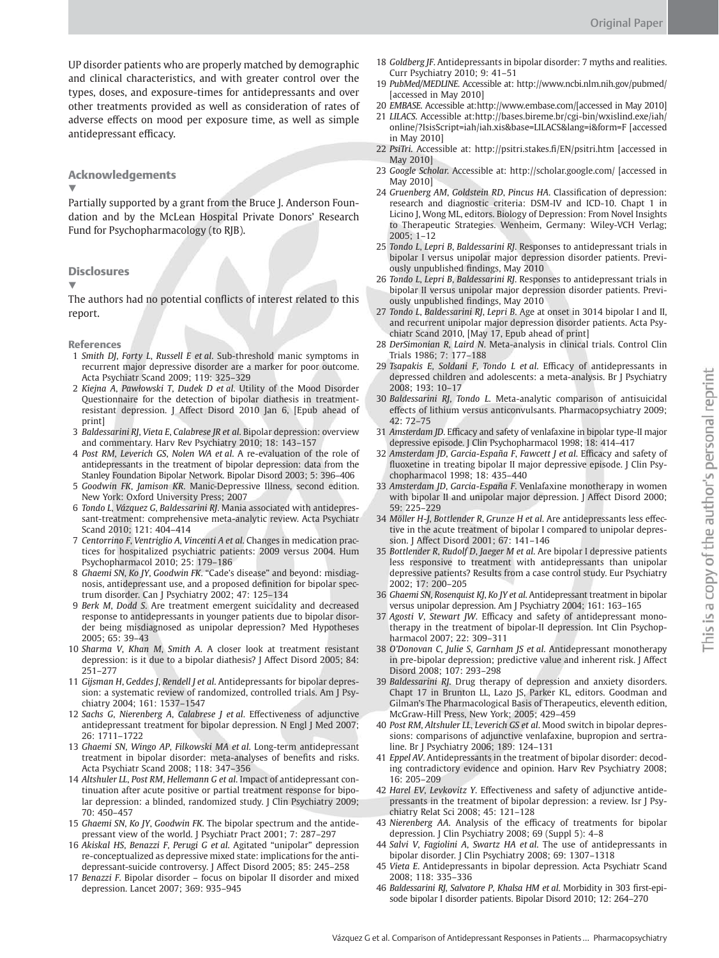UP disorder patients who are properly matched by demographic and clinical characteristics, and with greater control over the types, doses, and exposure-times for antidepressants and over other treatments provided as well as consideration of rates of adverse effects on mood per exposure time, as well as simple antidepressant efficacy.

## Acknowledgements

▼

Partially supported by a grant from the Bruce J. Anderson Foundation and by the McLean Hospital Private Donors' Research Fund for Psychopharmacology (to RJB).

## **Disclosures**

▼

The authors had no potential conflicts of interest related to this report.

References

- 1 *Smith DJ* , *Forty L* , *Russell E et al* . Sub-threshold manic symptoms in recurrent major depressive disorder are a marker for poor outcome. Acta Psychiatr Scand 2009; 119: 325-329
- 2 *Kiejna A* , *Paw ł owski T* , *Dudek D et al* . Utility of the Mood Disorder Questionnaire for the detection of bipolar diathesis in treatmentresistant depression. J Affect Disord 2010 Jan 6, [Epub ahead of print]
- 3 *Baldessarini RJ* , *Vieta E* , *Calabrese JR et al* . Bipolar depression: overview and commentary. Harv Rev Psychiatry 2010; 18: 143-157
- 4 *Post RM* , *Leverich GS* , *Nolen WA et al* . A re-evaluation of the role of antidepressants in the treatment of bipolar depression: data from the Stanley Foundation Bipolar Network. Bipolar Disord 2003; 5: 396-406
- 5 *Goodwin FK* , *Jamison KR* . Manic-Depressive Illness, second edition. New York: Oxford University Press; 2007
- 6 *Tondo L* , *V á zquez G* , *Baldessarini RJ* . Mania associated with antidepressant-treatment: comprehensive meta-analytic review. Acta Psychiatr Scand 2010; 121: 404-414
- 7 *Centorrino F* , *Ventriglio A* , *Vincenti A et al* . Changes in medication practices for hospitalized psychiatric patients: 2009 versus 2004. Hum Psychopharmacol 2010; 25: 179-186
- 8 *Ghaemi SN* , *Ko JY* , *Goodwin FK* . " Cade's disease " and beyond: misdiagnosis, antidepressant use, and a proposed definition for bipolar spectrum disorder. Can J Psychiatry 2002; 47: 125-134
- 9 *Berk M* , *Dodd S* . Are treatment emergent suicidality and decreased response to antidepressants in younger patients due to bipolar disorder being misdiagnosed as unipolar depression? Med Hypotheses 2005 ; 65 : 39 – 43
- 10 *Sharma V* , *Khan M* , *Smith A* . A closer look at treatment resistant depression: is it due to a bipolar diathesis? J Affect Disord 2005; 84: 251 – 277
- 11 *Gijsman H* , *Geddes J* , *Rendell J et al* . Antidepressants for bipolar depression: a systematic review of randomized, controlled trials. Am J Psychiatry 2004; 161: 1537-1547
- 12 Sachs G, Nierenberg A, Calabrese J et al. Effectiveness of adjunctive antidepressant treatment for bipolar depression. N Engl J Med 2007; 26 : 1711 – 1722
- 13 *Ghaemi SN* , *Wingo AP* , *Filkowski MA et al* . Long-term antidepressant treatment in bipolar disorder: meta-analyses of benefits and risks. Acta Psychiatr Scand 2008; 118: 347-356
- 14 *Altshuler LL* , *Post RM* , *Hellemann G et al* . Impact of antidepressant continuation after acute positive or partial treatment response for bipolar depression: a blinded, randomized study. J Clin Psychiatry 2009; 70: 450-457
- 15 *Ghaemi SN* , *Ko JY* , *Goodwin FK* . The bipolar spectrum and the antidepressant view of the world. J Psychiatr Pract 2001; 7: 287-297
- 16 *Akiskal HS* , *Benazzi F* , *Perugi G et al* . Agitated " unipolar " depression re-conceptualized as depressive mixed state: implications for the antidepressant-suicide controversy. J Affect Disord 2005; 85: 245-258
- 17 *Benazzi F* . Bipolar disorder focus on bipolar II disorder and mixed depression. Lancet 2007; 369: 935-945
- 18 *Goldberg JF* . Antidepressants in bipolar disorder: 7 myths and realities . Curr Psychiatry 2010; 9: 41-51
- 19 *PubMed/MEDLINE.* Accessible at: http://www.ncbi.nlm.nih.gov/pubmed/ [accessed in May 2010]
- 20 *EMBASE*. Accessible at:http://www.embase.com/[accessed in May 2010]
- 21 *LILACS.* Accessible at: http://bases.bireme.br/cgi-bin/wxislind.exe/iah/ online/?IsisScript=iah/iah.xis & base=LILACS & lang=i & form=F [accessed in May 2010]
- 22 PsiTri. Accessible at: http://psitri.stakes.fi/EN/psitri.htm [accessed in May 2010]
- 23 *Google Scholar.* Accessible at: http://scholar.google.com/ [accessed in May 2010]
- 24 *Gruenberg AM*, *Goldstein RD*, *Pincus HA*. Classification of depression: research and diagnostic criteria: DSM-IV and ICD-10. Chapt 1 in Licino J, Wong ML, editors. Biology of Depression: From Novel Insights to Therapeutic Strategies. Wenheim, Germany: Wiley-VCH Verlag;  $2005: 1-12$
- 25 *Tondo L* , *Lepri B* , *Baldessarini RJ* . Responses to antidepressant trials in bipolar I versus unipolar major depression disorder patients. Previously unpublished findings, May 2010
- 26 *Tondo L* , *Lepri B* , *Baldessarini RJ* . Responses to antidepressant trials in bipolar II versus unipolar major depression disorder patients. Previously unpublished findings, May 2010
- 27 *Tondo L* , *Baldessarini RJ* , *Lepri B* . Age at onset in 3014 bipolar I and II, and recurrent unipolar major depression disorder patients. Acta Psychiatr Scand 2010, [May 17, Epub ahead of print]
- 28 *DerSimonian R* , *Laird N* . Meta-analysis in clinical trials . Control Clin Trials 1986; 7: 177-188
- 29 *Tsapakis E* , *Soldani F* , *Tondo L et al* . Effi cacy of antidepressants in depressed children and adolescents: a meta-analysis . Br J Psychiatry 2008; 193: 10-17
- 30 *Baldessarini RJ* , *Tondo L* . Meta-analytic comparison of antisuicidal effects of lithium versus anticonvulsants. Pharmacopsychiatry 2009; 42 : 72 – 75
- 31 *Amsterdam JD*. Efficacy and safety of venlafaxine in bipolar type-II major depressive episode. J Clin Psychopharmacol 1998; 18: 414-417
- 32 Amsterdam *JD*, *Garcia-España F*, *Fawcett J et al. Efficacy and safety of* fluoxetine in treating bipolar II major depressive episode. J Clin Psychopharmacol 1998; 18: 435-440
- 33 Amsterdam JD, Garcia-España F. Venlafaxine monotherapy in women with bipolar II and unipolar major depression. J Affect Disord 2000; 59 : 225 – 229
- 34 Möller H-J, Bottlender R, Grunze H et al. Are antidepressants less effective in the acute treatment of bipolar I compared to unipolar depression. | Affect Disord 2001; 67: 141-146
- 35 *Bottlender R* , *Rudolf D* , *Jaeger M et al* . Are bipolar I depressive patients less responsive to treatment with antidepressants than unipolar depressive patients? Results from a case control study. Eur Psychiatry 2002; 17: 200-205
- 36 *Ghaemi SN* , *Rosenquist KJ* , *Ko JY et al* . Antidepressant treatment in bipolar versus unipolar depression. Am J Psychiatry 2004; 161: 163-165
- 37 Agosti *V*, *Stewart JW*. Efficacy and safety of antidepressant monotherapy in the treatment of bipolar-II depression . Int Clin Psychopharmacol 2007; 22: 309-311
- 38 *O ' Donovan C* , *Julie S* , *Garnham JS et al* . Antidepressant monotherapy in pre-bipolar depression; predictive value and inherent risk. J Affect Disord 2008; 107: 293-298
- 39 *Baldessarini RJ* . Drug therapy of depression and anxiety disorders . Chapt 17 in Brunton LL, Lazo JS, Parker KL, editors. Goodman and Gilman's The Pharmacological Basis of Therapeutics, eleventh edition, McGraw-Hill Press, New York; 2005; 429-459
- 40 *Post RM* , *Altshuler LL* , *Leverich GS et al* . Mood switch in bipolar depressions: comparisons of adjunctive venlafaxine, bupropion and sertraline. Br J Psychiatry 2006; 189: 124-131
- 41 *Eppel AV* . Antidepressants in the treatment of bipolar disorder: decoding contradictory evidence and opinion. Harv Rev Psychiatry 2008; 16: 205-209
- 42 *Harel EV*, *Levkovitz Y*. Effectiveness and safety of adjunctive antidepressants in the treatment of bipolar depression: a review. Isr J Psychiatry Relat Sci 2008; 45: 121-128
- 43 Nierenberg AA. Analysis of the efficacy of treatments for bipolar depression. J Clin Psychiatry 2008; 69 (Suppl 5): 4-8
- 44 *Salvi V* , *Fagiolini A* , *Swartz HA et al* . The use of antidepressants in bipolar disorder. J Clin Psychiatry 2008; 69: 1307-1318
- 45 *Vieta E* . Antidepressants in bipolar depression . Acta Psychiatr Scand 2008 ; 118 : 335 – 336
- 46 *Baldessarini RJ* , *Salvatore P* , *Khalsa HM et al* . Morbidity in 303 fi rst-episode bipolar I disorder patients. Bipolar Disord 2010; 12: 264–270